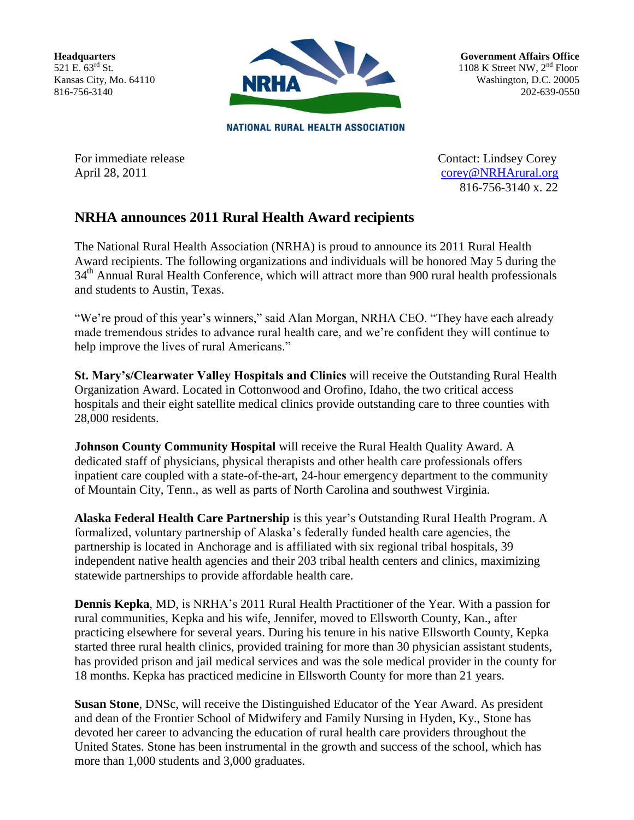**Headquarters** 521 E. 63<sup>rd</sup> St. Kansas City, Mo. 64110 816-756-3140



**Government Affairs Office** 1108 K Street NW,  $2<sup>nd</sup>$  Floor Washington, D.C. 20005 202-639-0550

**NATIONAL RURAL HEALTH ASSOCIATION** 

For immediate release Contact: Lindsey Corey April 28, 2011 [corey@NRHArural.org](mailto:corey@NRHArural.org) 816-756-3140 x. 22

## **NRHA announces 2011 Rural Health Award recipients**

The National Rural Health Association (NRHA) is proud to announce its 2011 Rural Health Award recipients. The following organizations and individuals will be honored May 5 during the 34<sup>th</sup> Annual Rural Health Conference, which will attract more than 900 rural health professionals and students to Austin, Texas.

"We're proud of this year's winners," said Alan Morgan, NRHA CEO. "They have each already made tremendous strides to advance rural health care, and we're confident they will continue to help improve the lives of rural Americans."

**St. Mary's/Clearwater Valley Hospitals and Clinics** will receive the Outstanding Rural Health Organization Award. Located in Cottonwood and Orofino, Idaho, the two critical access hospitals and their eight satellite medical clinics provide outstanding care to three counties with 28,000 residents.

**Johnson County Community Hospital** will receive the Rural Health Quality Award. A dedicated staff of physicians, physical therapists and other health care professionals offers inpatient care coupled with a state-of-the-art, 24-hour emergency department to the community of Mountain City, Tenn., as well as parts of North Carolina and southwest Virginia.

**Alaska Federal Health Care Partnership** is this year's Outstanding Rural Health Program. A formalized, voluntary partnership of Alaska's federally funded health care agencies, the partnership is located in Anchorage and is affiliated with six regional tribal hospitals, 39 independent native health agencies and their 203 tribal health centers and clinics, maximizing statewide partnerships to provide affordable health care.

**Dennis Kepka**, MD, is NRHA's 2011 Rural Health Practitioner of the Year. With a passion for rural communities, Kepka and his wife, Jennifer, moved to Ellsworth County, Kan., after practicing elsewhere for several years. During his tenure in his native Ellsworth County, Kepka started three rural health clinics, provided training for more than 30 physician assistant students, has provided prison and jail medical services and was the sole medical provider in the county for 18 months. Kepka has practiced medicine in Ellsworth County for more than 21 years.

**Susan Stone**, DNSc, will receive the Distinguished Educator of the Year Award. As president and dean of the Frontier School of Midwifery and Family Nursing in Hyden, Ky., Stone has devoted her career to advancing the education of rural health care providers throughout the United States. Stone has been instrumental in the growth and success of the school, which has more than 1,000 students and 3,000 graduates.